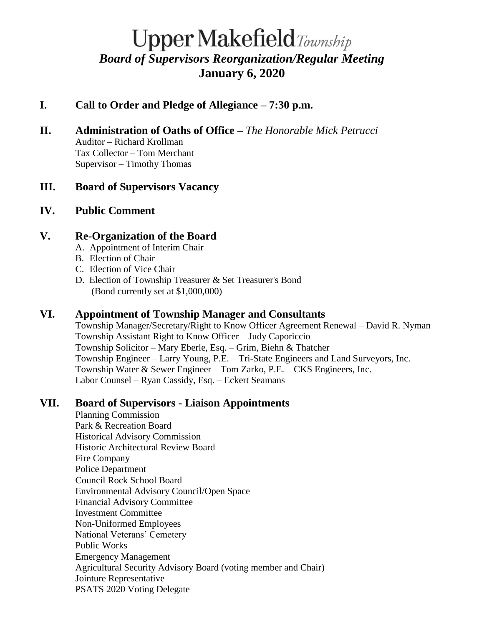# **Upper Makefield**Township *Board of Supervisors Reorganization/Regular Meeting* **January 6, 2020**

# **I. Call to Order and Pledge of Allegiance – 7:30 p.m.**

**II. Administration of Oaths of Office –** *The Honorable Mick Petrucci* Auditor – Richard Krollman Tax Collector – Tom Merchant Supervisor – Timothy Thomas

## **III. Board of Supervisors Vacancy**

## **IV. Public Comment**

## **V. Re-Organization of the Board**

- A. Appointment of Interim Chair
- B. Election of Chair
- C. Election of Vice Chair
- D. Election of Township Treasurer & Set Treasurer's Bond (Bond currently set at \$1,000,000)

# **VI. Appointment of Township Manager and Consultants**

Township Manager/Secretary/Right to Know Officer Agreement Renewal – David R. Nyman Township Assistant Right to Know Officer – Judy Caporiccio Township Solicitor – Mary Eberle, Esq. – Grim, Biehn & Thatcher Township Engineer – Larry Young, P.E. – Tri-State Engineers and Land Surveyors, Inc. Township Water & Sewer Engineer – Tom Zarko, P.E. – CKS Engineers, Inc. Labor Counsel – Ryan Cassidy, Esq. – Eckert Seamans

# **VII. Board of Supervisors - Liaison Appointments**

Planning Commission Park & Recreation Board Historical Advisory Commission Historic Architectural Review Board Fire Company Police Department Council Rock School Board Environmental Advisory Council/Open Space Financial Advisory Committee Investment Committee Non-Uniformed Employees National Veterans' Cemetery Public Works Emergency Management Agricultural Security Advisory Board (voting member and Chair) Jointure Representative PSATS 2020 Voting Delegate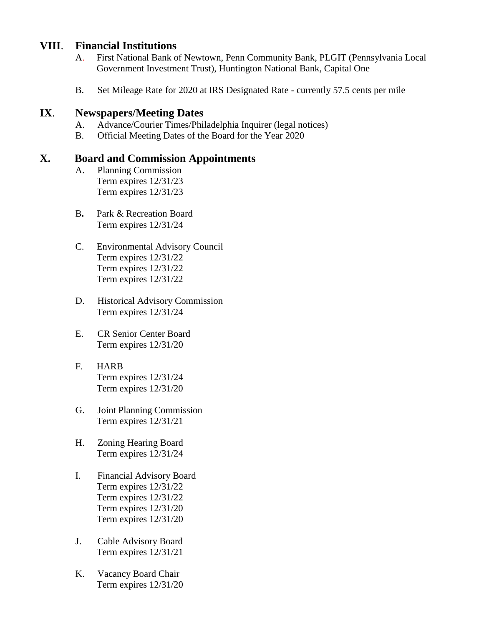#### **VIII**. **Financial Institutions**

- A. First National Bank of Newtown, Penn Community Bank, PLGIT (Pennsylvania Local Government Investment Trust), Huntington National Bank, Capital One
- B. Set Mileage Rate for 2020 at IRS Designated Rate currently 57.5 cents per mile

#### **IX**. **Newspapers/Meeting Dates**

- A. Advance/Courier Times/Philadelphia Inquirer (legal notices)
- B. Official Meeting Dates of the Board for the Year 2020

#### **X. Board and Commission Appointments**

- A. Planning Commission Term expires 12/31/23 Term expires 12/31/23
- B**.** Park & Recreation Board Term expires 12/31/24
- C. Environmental Advisory Council Term expires 12/31/22 Term expires 12/31/22 Term expires 12/31/22
- D. Historical Advisory Commission Term expires 12/31/24
- E. CR Senior Center Board Term expires 12/31/20
- F. HARB Term expires 12/31/24 Term expires 12/31/20
- G. Joint Planning Commission Term expires 12/31/21
- H. Zoning Hearing Board Term expires 12/31/24
- I. Financial Advisory Board Term expires 12/31/22 Term expires 12/31/22 Term expires 12/31/20 Term expires 12/31/20
- J. Cable Advisory Board Term expires 12/31/21
- K. Vacancy Board Chair Term expires 12/31/20